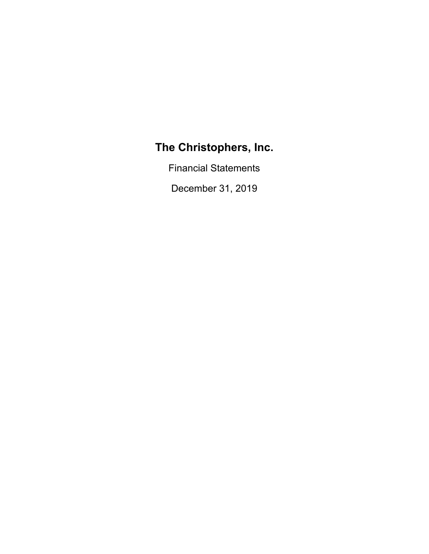Financial Statements

December 31, 2019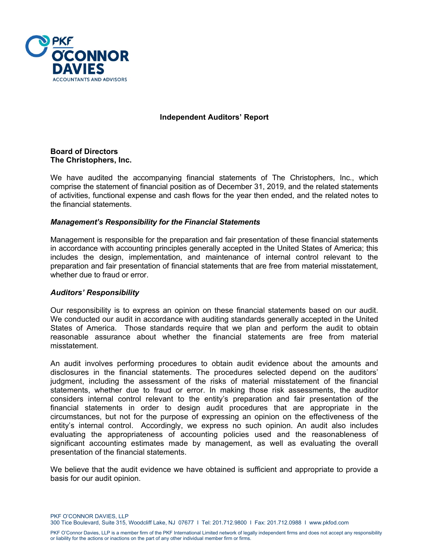

# **Independent Auditors' Report**

#### **Board of Directors The Christophers, Inc.**

We have audited the accompanying financial statements of The Christophers, Inc., which comprise the statement of financial position as of December 31, 2019, and the related statements of activities, functional expense and cash flows for the year then ended, and the related notes to the financial statements.

# *Management's Responsibility for the Financial Statements*

Management is responsible for the preparation and fair presentation of these financial statements in accordance with accounting principles generally accepted in the United States of America; this includes the design, implementation, and maintenance of internal control relevant to the preparation and fair presentation of financial statements that are free from material misstatement, whether due to fraud or error.

#### *Auditors' Responsibility*

Our responsibility is to express an opinion on these financial statements based on our audit. We conducted our audit in accordance with auditing standards generally accepted in the United States of America. Those standards require that we plan and perform the audit to obtain reasonable assurance about whether the financial statements are free from material misstatement.

An audit involves performing procedures to obtain audit evidence about the amounts and disclosures in the financial statements. The procedures selected depend on the auditors' judgment, including the assessment of the risks of material misstatement of the financial statements, whether due to fraud or error. In making those risk assessments, the auditor considers internal control relevant to the entity's preparation and fair presentation of the financial statements in order to design audit procedures that are appropriate in the circumstances, but not for the purpose of expressing an opinion on the effectiveness of the entity's internal control. Accordingly, we express no such opinion. An audit also includes evaluating the appropriateness of accounting policies used and the reasonableness of significant accounting estimates made by management, as well as evaluating the overall presentation of the financial statements.

We believe that the audit evidence we have obtained is sufficient and appropriate to provide a basis for our audit opinion.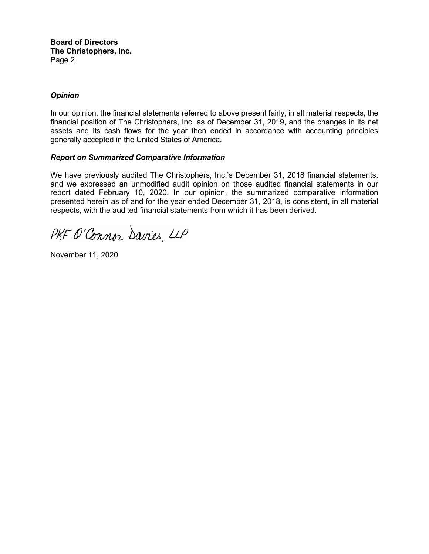**Board of Directors The Christophers, Inc.**  Page 2

# *Opinion*

In our opinion, the financial statements referred to above present fairly, in all material respects, the financial position of The Christophers, Inc. as of December 31, 2019, and the changes in its net assets and its cash flows for the year then ended in accordance with accounting principles generally accepted in the United States of America.

#### *Report on Summarized Comparative Information*

We have previously audited The Christophers, Inc.'s December 31, 2018 financial statements, and we expressed an unmodified audit opinion on those audited financial statements in our report dated February 10, 2020. In our opinion, the summarized comparative information presented herein as of and for the year ended December 31, 2018, is consistent, in all material respects, with the audited financial statements from which it has been derived.

PKF O'Connor Davies, LLP

November 11, 2020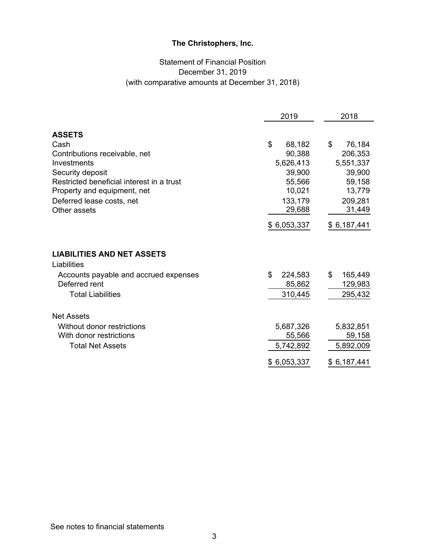# Statement of Financial Position December 31, 2019 (with comparative amounts at December 31, 2018)

|                                                  | 2019          | 2018          |
|--------------------------------------------------|---------------|---------------|
| <b>ASSETS</b>                                    |               |               |
| Cash                                             | \$<br>68,182  | \$<br>76,184  |
| Contributions receivable, net                    | 90,388        | 206,353       |
| Investments                                      | 5,626,413     | 5,551,337     |
| Security deposit                                 | 39,900        | 39,900        |
| Restricted beneficial interest in a trust        | 55,566        | 59,158        |
| Property and equipment, net                      | 10,021        | 13,779        |
| Deferred lease costs, net                        | 133,179       | 209,281       |
| Other assets                                     | 29,688        | 31,449        |
|                                                  | \$6,053,337   | \$6,187,441   |
| <b>LIABILITIES AND NET ASSETS</b><br>Liabilities |               |               |
| Accounts payable and accrued expenses            | \$<br>224,583 | \$<br>165,449 |
| Deferred rent                                    | 85,862        | 129,983       |
| <b>Total Liabilities</b>                         | 310,445       | 295,432       |
| <b>Net Assets</b>                                |               |               |
| Without donor restrictions                       | 5,687,326     | 5,832,851     |
| With donor restrictions                          | 55,566        | 59,158        |
| <b>Total Net Assets</b>                          | 5,742,892     | 5,892,009     |
|                                                  | \$6,053,337   | \$6,187,441   |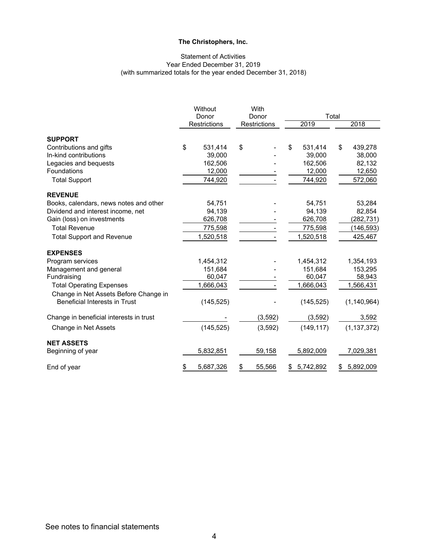#### Statement of Activities Year Ended December 31, 2019 (with summarized totals for the year ended December 31, 2018)

|                                         | Without<br>Donor<br>Restrictions |            | With                  | Total<br>2019 |            |                 |
|-----------------------------------------|----------------------------------|------------|-----------------------|---------------|------------|-----------------|
|                                         |                                  |            | Donor<br>Restrictions |               |            | 2018            |
|                                         |                                  |            |                       |               |            |                 |
| <b>SUPPORT</b>                          |                                  |            |                       |               |            |                 |
| Contributions and gifts                 | \$                               | 531,414    | \$                    | \$            | 531,414    | \$<br>439,278   |
| In-kind contributions                   |                                  | 39,000     |                       |               | 39,000     | 38,000          |
| Legacies and bequests                   |                                  | 162,506    |                       |               | 162,506    | 82,132          |
| Foundations                             |                                  | 12,000     |                       |               | 12,000     | 12,650          |
| <b>Total Support</b>                    |                                  | 744,920    |                       |               | 744,920    | 572,060         |
| <b>REVENUE</b>                          |                                  |            |                       |               |            |                 |
| Books, calendars, news notes and other  |                                  | 54,751     |                       |               | 54,751     | 53,284          |
| Dividend and interest income, net       |                                  | 94,139     |                       |               | 94,139     | 82,854          |
| Gain (loss) on investments              |                                  | 626,708    |                       |               | 626,708    | (282,731)       |
| <b>Total Revenue</b>                    |                                  | 775,598    |                       |               | 775,598    | (146, 593)      |
| <b>Total Support and Revenue</b>        |                                  | 1,520,518  |                       |               | 1,520,518  | 425,467         |
| <b>EXPENSES</b>                         |                                  |            |                       |               |            |                 |
| Program services                        |                                  | 1,454,312  |                       |               | 1,454,312  | 1,354,193       |
| Management and general                  |                                  | 151,684    |                       |               | 151,684    | 153,295         |
| Fundraising                             |                                  | 60,047     |                       |               | 60,047     | 58,943          |
| <b>Total Operating Expenses</b>         |                                  | 1,666,043  |                       |               | 1,666,043  | 1,566,431       |
| Change in Net Assets Before Change in   |                                  |            |                       |               |            |                 |
| Beneficial Interests in Trust           |                                  | (145, 525) |                       |               | (145, 525) | (1, 140, 964)   |
| Change in beneficial interests in trust |                                  |            | (3, 592)              |               | (3, 592)   | 3,592           |
| Change in Net Assets                    |                                  | (145, 525) | (3,592)               |               | (149, 117) | (1, 137, 372)   |
| <b>NET ASSETS</b>                       |                                  |            |                       |               |            |                 |
| Beginning of year                       |                                  | 5,832,851  | 59,158                |               | 5,892,009  | 7,029,381       |
| End of year                             | <u>\$</u>                        | 5,687,326  | \$<br>55,566          | \$            | 5,742,892  | \$<br>5,892,009 |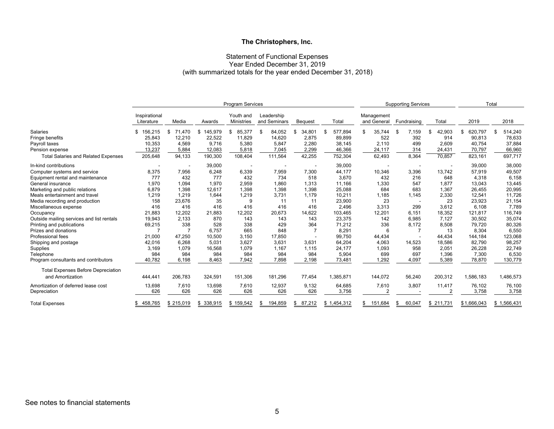#### Statement of Functional Expenses Year Ended December 31, 2019 (with summarized totals for the year ended December 31, 2018)

|                                            | <b>Program Services</b>     |                |               |                         |                            | <b>Supporting Services</b> |             |                           | Total       |              |               |             |
|--------------------------------------------|-----------------------------|----------------|---------------|-------------------------|----------------------------|----------------------------|-------------|---------------------------|-------------|--------------|---------------|-------------|
|                                            | Inspirational<br>Literature | Media          | Awards        | Youth and<br>Ministries | Leadership<br>and Seminars | <b>Bequest</b>             | Total       | Management<br>and General | Fundraising | Total        | 2019          | 2018        |
| Salaries                                   | 156,215<br>\$               | 71.470<br>\$   | 145,979<br>\$ | 85,377<br>\$            | 84,052<br>\$               | 34,801<br>\$               | 577,894     | 35,744<br>\$              | 7,159<br>£  | 42,903<br>\$ | 620,797<br>\$ | 514,240     |
| Fringe benefits                            | 25,843                      | 12,210         | 22,522        | 11,829                  | 14,620                     | 2,875                      | 89,899      | 522                       | 392         | 914          | 90,813        | 78,633      |
| Payroll taxes                              | 10,353                      | 4,569          | 9.716         | 5,380                   | 5,847                      | 2,280                      | 38,145      | 2,110                     | 499         | 2.609        | 40,754        | 37,884      |
| Pension expense                            | 13,237                      | 5,884          | 12,083        | 5,818                   | 7,045                      | 2,299                      | 46,366      | 24,117                    | 314         | 24,431       | 70,797        | 66,960      |
| <b>Total Salaries and Related Expenses</b> | 205,648                     | 94,133         | 190,300       | 108,404                 | 111,564                    | 42,255                     | 752,304     | 62,493                    | 8,364       | 70,857       | 823,161       | 697,717     |
| In-kind contributions                      |                             |                | 39,000        |                         |                            |                            | 39,000      |                           |             |              | 39,000        | 38,000      |
| Computer systems and service               | 8,375                       | 7,956          | 6,248         | 6,339                   | 7,959                      | 7,300                      | 44,177      | 10,346                    | 3,396       | 13.742       | 57,919        | 49,507      |
| Equipment rental and maintenance           | 777                         | 432            | 777           | 432                     | 734                        | 518                        | 3,670       | 432                       | 216         | 648          | 4,318         | 6,158       |
| General insurance                          | 1.970                       | 1.094          | 1.970         | 2.959                   | 1,860                      | 1.313                      | 11,166      | 1,330                     | 547         | 1.877        | 13,043        | 13,445      |
| Marketing and public relations             | 6,879                       | 1,398          | 12,617        | 1,398                   | 1,398                      | 1,398                      | 25,088      | 684                       | 683         | 1,367        | 26,455        | 20,995      |
| Meals entertainment and travel             | 1,219                       | 1,219          | 1,644         | 1,219                   | 3,731                      | 1,179                      | 10,211      | 1,185                     | 1,145       | 2,330        | 12,541        | 11,726      |
| Media recording and production             | 158                         | 23,676         | 35            | 9                       | 11                         | 11                         | 23,900      | 23                        |             | 23           | 23,923        | 21,154      |
| Miscellaneous expense                      | 416                         | 416            | 416           | 416                     | 416                        | 416                        | 2,496       | 3,313                     | 299         | 3,612        | 6,108         | 7,789       |
| Occupancy                                  | 21,883                      | 12,202         | 21,883        | 12,202                  | 20,673                     | 14,622                     | 103,465     | 12,201                    | 6,151       | 18,352       | 121,817       | 116,749     |
| Outside mailing services and list rentals  | 19,943                      | 2,133          | 870           | 143                     | 143                        | 143                        | 23,375      | 142                       | 6,985       | 7,127        | 30,502        | 35,074      |
| Printing and publications                  | 69,215                      | 338            | 528           | 338                     | 429                        | 364                        | 71,212      | 336                       | 8,172       | 8,508        | 79,720        | 80,326      |
| Prizes and donations                       |                             | $\overline{7}$ | 6,757         | 665                     | 848                        |                            | 8,291       | 6                         |             | 13           | 8,304         | 6,550       |
| Professional fees                          | 21,000                      | 47,250         | 10,500        | 3,150                   | 17,850                     |                            | 99,750      | 44,434                    |             | 44,434       | 144,184       | 123,068     |
| Shipping and postage                       | 42,016                      | 6,268          | 5,031         | 3,627                   | 3,631                      | 3,631                      | 64,204      | 4,063                     | 14,523      | 18,586       | 82,790        | 98,257      |
| Supplies                                   | 3,169                       | 1,079          | 16,568        | 1,079                   | 1,167                      | 1,115                      | 24,177      | 1,093                     | 958         | 2,051        | 26,228        | 22,749      |
| Telephone                                  | 984                         | 984            | 984           | 984                     | 984                        | 984                        | 5,904       | 699                       | 697         | 1,396        | 7,300         | 6,530       |
| Program consultants and contributors       | 40,782                      | 6,198          | 8,463         | 7,942                   | 7,898                      | 2,198                      | 73,481      | 1,292                     | 4,097       | 5,389        | 78,870        | 130,779     |
| <b>Total Expenses Before Depreciation</b>  |                             |                |               |                         |                            |                            |             |                           |             |              |               |             |
| and Amortization                           | 444,441                     | 206,783        | 324,591       | 151,306                 | 181,296                    | 77,454                     | 1,385,871   | 144,072                   | 56,240      | 200,312      | 1,586,183     | 1,486,573   |
| Amortization of deferred lease cost        | 13,698                      | 7,610          | 13,698        | 7,610                   | 12,937                     | 9,132                      | 64,685      | 7,610                     | 3,807       | 11,417       | 76,102        | 76,100      |
| Depreciation                               | 626                         | 626            | 626           | 626                     | 626                        | 626                        | 3,756       | $\mathfrak{p}$            |             |              | 3,758         | 3,758       |
| <b>Total Expenses</b>                      | 458,765                     | \$215,019      | \$338,915     | \$159,542               | 194,859<br>S               | 87,212<br>\$               | \$1,454,312 | 151,684                   | 60,047      | \$211,731    | \$1,666,043   | \$1,566,431 |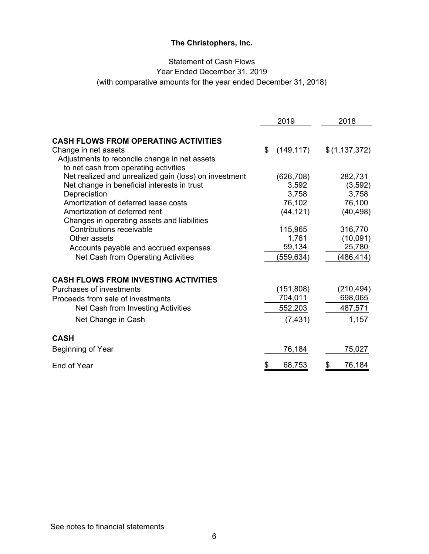# Statement of Cash Flows Year Ended December 31, 2019 (with comparative amounts for the year ended December 31, 2018)

|                                                                                                                                                                                                                                              | 2019                                                | 2018                                                |
|----------------------------------------------------------------------------------------------------------------------------------------------------------------------------------------------------------------------------------------------|-----------------------------------------------------|-----------------------------------------------------|
| <b>CASH FLOWS FROM OPERATING ACTIVITIES</b><br>Change in net assets<br>Adjustments to reconcile change in net assets<br>to net cash from operating activities                                                                                | (149, 117)<br>\$                                    | \$(1, 137, 372)                                     |
| Net realized and unrealized gain (loss) on investment<br>Net change in beneficial interests in trust<br>Depreciation<br>Amortization of deferred lease costs<br>Amortization of deferred rent<br>Changes in operating assets and liabilities | (626, 708)<br>3,592<br>3,758<br>76,102<br>(44, 121) | 282,731<br>(3, 592)<br>3,758<br>76,100<br>(40, 498) |
| Contributions receivable<br>Other assets<br>Accounts payable and accrued expenses<br>Net Cash from Operating Activities                                                                                                                      | 115,965<br>1,761<br>59,134<br>(559,634)             | 316,770<br>(10,091)<br>25,780<br>(486, 414)         |
| <b>CASH FLOWS FROM INVESTING ACTIVITIES</b><br>Purchases of investments<br>Proceeds from sale of investments<br>Net Cash from Investing Activities<br>Net Change in Cash                                                                     | (151, 808)<br>704,011<br>552,203<br>(7, 431)        | (210, 494)<br>698,065<br>487,571<br>1,157           |
| <b>CASH</b><br>Beginning of Year                                                                                                                                                                                                             | 76,184                                              | 75,027                                              |
| End of Year                                                                                                                                                                                                                                  | 68,753<br>\$                                        | \$<br>76,184                                        |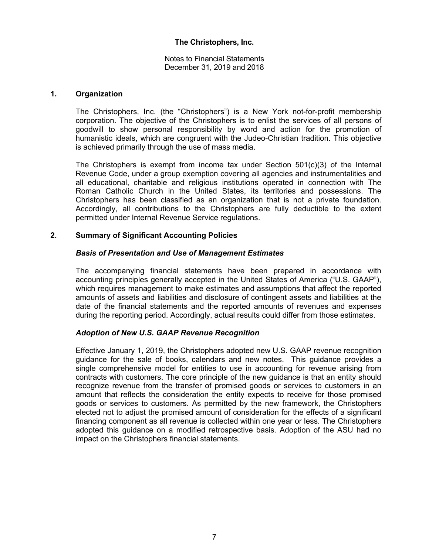Notes to Financial Statements December 31, 2019 and 2018

#### **1. Organization**

The Christophers, Inc. (the "Christophers") is a New York not-for-profit membership corporation. The objective of the Christophers is to enlist the services of all persons of goodwill to show personal responsibility by word and action for the promotion of humanistic ideals, which are congruent with the Judeo-Christian tradition. This objective is achieved primarily through the use of mass media.

The Christophers is exempt from income tax under Section  $501(c)(3)$  of the Internal Revenue Code, under a group exemption covering all agencies and instrumentalities and all educational, charitable and religious institutions operated in connection with The Roman Catholic Church in the United States, its territories and possessions. The Christophers has been classified as an organization that is not a private foundation. Accordingly, all contributions to the Christophers are fully deductible to the extent permitted under Internal Revenue Service regulations.

# **2. Summary of Significant Accounting Policies**

#### *Basis of Presentation and Use of Management Estimates*

The accompanying financial statements have been prepared in accordance with accounting principles generally accepted in the United States of America ("U.S. GAAP"), which requires management to make estimates and assumptions that affect the reported amounts of assets and liabilities and disclosure of contingent assets and liabilities at the date of the financial statements and the reported amounts of revenues and expenses during the reporting period. Accordingly, actual results could differ from those estimates.

# *Adoption of New U.S. GAAP Revenue Recognition*

Effective January 1, 2019, the Christophers adopted new U.S. GAAP revenue recognition guidance for the sale of books, calendars and new notes. This guidance provides a single comprehensive model for entities to use in accounting for revenue arising from contracts with customers. The core principle of the new guidance is that an entity should recognize revenue from the transfer of promised goods or services to customers in an amount that reflects the consideration the entity expects to receive for those promised goods or services to customers. As permitted by the new framework, the Christophers elected not to adjust the promised amount of consideration for the effects of a significant financing component as all revenue is collected within one year or less. The Christophers adopted this guidance on a modified retrospective basis. Adoption of the ASU had no impact on the Christophers financial statements.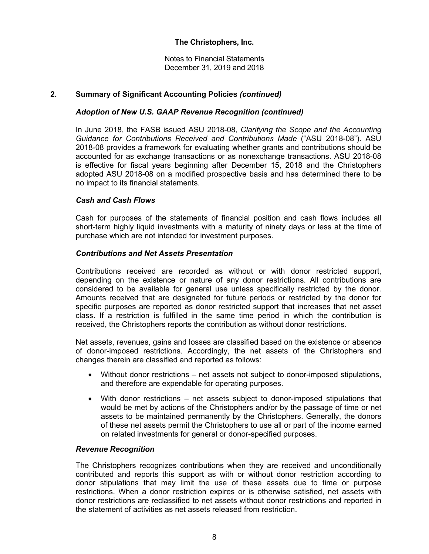Notes to Financial Statements December 31, 2019 and 2018

# **2. Summary of Significant Accounting Policies** *(continued)*

#### *Adoption of New U.S. GAAP Revenue Recognition (continued)*

In June 2018, the FASB issued ASU 2018-08, *Clarifying the Scope and the Accounting Guidance for Contributions Received and Contributions Made* ("ASU 2018-08"). ASU 2018-08 provides a framework for evaluating whether grants and contributions should be accounted for as exchange transactions or as nonexchange transactions. ASU 2018-08 is effective for fiscal years beginning after December 15, 2018 and the Christophers adopted ASU 2018-08 on a modified prospective basis and has determined there to be no impact to its financial statements.

#### *Cash and Cash Flows*

Cash for purposes of the statements of financial position and cash flows includes all short-term highly liquid investments with a maturity of ninety days or less at the time of purchase which are not intended for investment purposes.

#### *Contributions and Net Assets Presentation*

Contributions received are recorded as without or with donor restricted support, depending on the existence or nature of any donor restrictions. All contributions are considered to be available for general use unless specifically restricted by the donor. Amounts received that are designated for future periods or restricted by the donor for specific purposes are reported as donor restricted support that increases that net asset class. If a restriction is fulfilled in the same time period in which the contribution is received, the Christophers reports the contribution as without donor restrictions.

Net assets, revenues, gains and losses are classified based on the existence or absence of donor-imposed restrictions. Accordingly, the net assets of the Christophers and changes therein are classified and reported as follows:

- Without donor restrictions net assets not subject to donor-imposed stipulations, and therefore are expendable for operating purposes.
- With donor restrictions net assets subject to donor-imposed stipulations that would be met by actions of the Christophers and/or by the passage of time or net assets to be maintained permanently by the Christophers. Generally, the donors of these net assets permit the Christophers to use all or part of the income earned on related investments for general or donor-specified purposes.

#### *Revenue Recognition*

The Christophers recognizes contributions when they are received and unconditionally contributed and reports this support as with or without donor restriction according to donor stipulations that may limit the use of these assets due to time or purpose restrictions. When a donor restriction expires or is otherwise satisfied, net assets with donor restrictions are reclassified to net assets without donor restrictions and reported in the statement of activities as net assets released from restriction.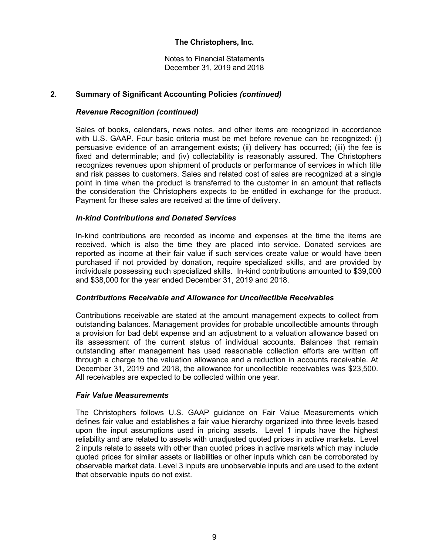Notes to Financial Statements December 31, 2019 and 2018

# **2. Summary of Significant Accounting Policies** *(continued)*

#### *Revenue Recognition (continued)*

Sales of books, calendars, news notes, and other items are recognized in accordance with U.S. GAAP. Four basic criteria must be met before revenue can be recognized: (i) persuasive evidence of an arrangement exists; (ii) delivery has occurred; (iii) the fee is fixed and determinable; and (iv) collectability is reasonably assured. The Christophers recognizes revenues upon shipment of products or performance of services in which title and risk passes to customers. Sales and related cost of sales are recognized at a single point in time when the product is transferred to the customer in an amount that reflects the consideration the Christophers expects to be entitled in exchange for the product. Payment for these sales are received at the time of delivery.

# *In-kind Contributions and Donated Services*

In-kind contributions are recorded as income and expenses at the time the items are received, which is also the time they are placed into service. Donated services are reported as income at their fair value if such services create value or would have been purchased if not provided by donation, require specialized skills, and are provided by individuals possessing such specialized skills. In-kind contributions amounted to \$39,000 and \$38,000 for the year ended December 31, 2019 and 2018.

#### *Contributions Receivable and Allowance for Uncollectible Receivables*

 Contributions receivable are stated at the amount management expects to collect from outstanding balances. Management provides for probable uncollectible amounts through a provision for bad debt expense and an adjustment to a valuation allowance based on its assessment of the current status of individual accounts. Balances that remain outstanding after management has used reasonable collection efforts are written off through a charge to the valuation allowance and a reduction in accounts receivable. At December 31, 2019 and 2018, the allowance for uncollectible receivables was \$23,500. All receivables are expected to be collected within one year.

#### *Fair Value Measurements*

The Christophers follows U.S. GAAP guidance on Fair Value Measurements which defines fair value and establishes a fair value hierarchy organized into three levels based upon the input assumptions used in pricing assets. Level 1 inputs have the highest reliability and are related to assets with unadjusted quoted prices in active markets. Level 2 inputs relate to assets with other than quoted prices in active markets which may include quoted prices for similar assets or liabilities or other inputs which can be corroborated by observable market data. Level 3 inputs are unobservable inputs and are used to the extent that observable inputs do not exist.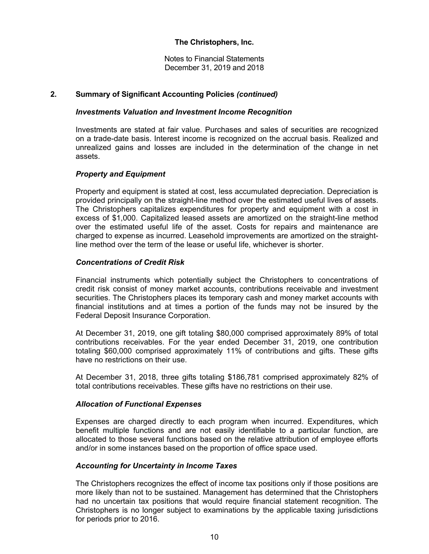Notes to Financial Statements December 31, 2019 and 2018

# **2. Summary of Significant Accounting Policies** *(continued)*

#### *Investments Valuation and Investment Income Recognition*

Investments are stated at fair value. Purchases and sales of securities are recognized on a trade-date basis. Interest income is recognized on the accrual basis. Realized and unrealized gains and losses are included in the determination of the change in net assets.

# *Property and Equipment*

Property and equipment is stated at cost, less accumulated depreciation. Depreciation is provided principally on the straight-line method over the estimated useful lives of assets. The Christophers capitalizes expenditures for property and equipment with a cost in excess of \$1,000. Capitalized leased assets are amortized on the straight-line method over the estimated useful life of the asset. Costs for repairs and maintenance are charged to expense as incurred. Leasehold improvements are amortized on the straightline method over the term of the lease or useful life, whichever is shorter.

# *Concentrations of Credit Risk*

Financial instruments which potentially subject the Christophers to concentrations of credit risk consist of money market accounts, contributions receivable and investment securities. The Christophers places its temporary cash and money market accounts with financial institutions and at times a portion of the funds may not be insured by the Federal Deposit Insurance Corporation.

At December 31, 2019, one gift totaling \$80,000 comprised approximately 89% of total contributions receivables. For the year ended December 31, 2019, one contribution totaling \$60,000 comprised approximately 11% of contributions and gifts. These gifts have no restrictions on their use.

At December 31, 2018, three gifts totaling \$186,781 comprised approximately 82% of total contributions receivables. These gifts have no restrictions on their use.

#### *Allocation of Functional Expenses*

Expenses are charged directly to each program when incurred. Expenditures, which benefit multiple functions and are not easily identifiable to a particular function, are allocated to those several functions based on the relative attribution of employee efforts and/or in some instances based on the proportion of office space used.

#### *Accounting for Uncertainty in Income Taxes*

The Christophers recognizes the effect of income tax positions only if those positions are more likely than not to be sustained. Management has determined that the Christophers had no uncertain tax positions that would require financial statement recognition. The Christophers is no longer subject to examinations by the applicable taxing jurisdictions for periods prior to 2016.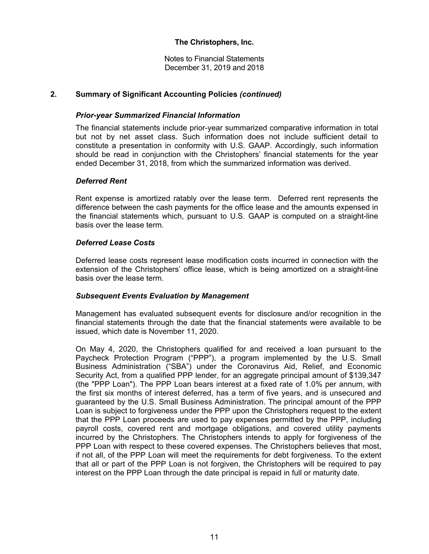Notes to Financial Statements December 31, 2019 and 2018

# **2. Summary of Significant Accounting Policies** *(continued)*

#### *Prior-year Summarized Financial Information*

The financial statements include prior-year summarized comparative information in total but not by net asset class. Such information does not include sufficient detail to constitute a presentation in conformity with U.S. GAAP. Accordingly, such information should be read in conjunction with the Christophers' financial statements for the year ended December 31, 2018, from which the summarized information was derived.

#### *Deferred Rent*

Rent expense is amortized ratably over the lease term. Deferred rent represents the difference between the cash payments for the office lease and the amounts expensed in the financial statements which, pursuant to U.S. GAAP is computed on a straight-line basis over the lease term.

#### *Deferred Lease Costs*

Deferred lease costs represent lease modification costs incurred in connection with the extension of the Christophers' office lease, which is being amortized on a straight-line basis over the lease term.

#### *Subsequent Events Evaluation by Management*

Management has evaluated subsequent events for disclosure and/or recognition in the financial statements through the date that the financial statements were available to be issued, which date is November 11, 2020.

On May 4, 2020, the Christophers qualified for and received a loan pursuant to the Paycheck Protection Program ("PPP"), a program implemented by the U.S. Small Business Administration ("SBA") under the Coronavirus Aid, Relief, and Economic Security Act, from a qualified PPP lender, for an aggregate principal amount of \$139,347 (the "PPP Loan"). The PPP Loan bears interest at a fixed rate of 1.0% per annum, with the first six months of interest deferred, has a term of five years, and is unsecured and guaranteed by the U.S. Small Business Administration. The principal amount of the PPP Loan is subject to forgiveness under the PPP upon the Christophers request to the extent that the PPP Loan proceeds are used to pay expenses permitted by the PPP, including payroll costs, covered rent and mortgage obligations, and covered utility payments incurred by the Christophers. The Christophers intends to apply for forgiveness of the PPP Loan with respect to these covered expenses. The Christophers believes that most, if not all, of the PPP Loan will meet the requirements for debt forgiveness. To the extent that all or part of the PPP Loan is not forgiven, the Christophers will be required to pay interest on the PPP Loan through the date principal is repaid in full or maturity date.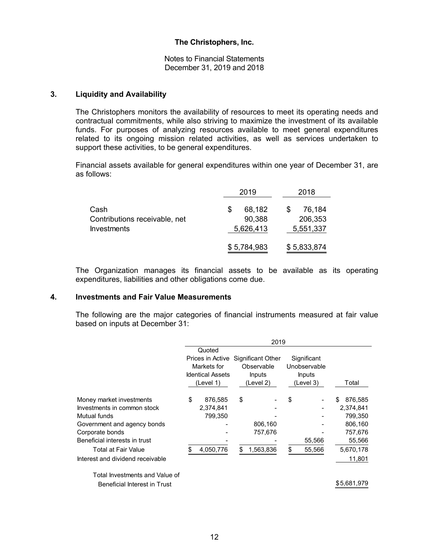Notes to Financial Statements December 31, 2019 and 2018

#### **3. Liquidity and Availability**

The Christophers monitors the availability of resources to meet its operating needs and contractual commitments, while also striving to maximize the investment of its available funds. For purposes of analyzing resources available to meet general expenditures related to its ongoing mission related activities, as well as services undertaken to support these activities, to be general expenditures.

Financial assets available for general expenditures within one year of December 31, are as follows:

|                                                     | 2019                | 2018                 |
|-----------------------------------------------------|---------------------|----------------------|
| Cash                                                | 68,182<br>S         | 76,184               |
| Contributions receivable, net<br><b>Investments</b> | 90,388<br>5,626,413 | 206,353<br>5,551,337 |
|                                                     |                     |                      |
|                                                     | \$5,784,983         | \$5,833,874          |

The Organization manages its financial assets to be available as its operating expenditures, liabilities and other obligations come due.

#### **4. Investments and Fair Value Measurements**

The following are the major categories of financial instruments measured at fair value based on inputs at December 31:

|                                     |                                    | 2019       |              |              |
|-------------------------------------|------------------------------------|------------|--------------|--------------|
|                                     | Quoted                             |            |              |              |
|                                     | Prices in Active Significant Other |            | Significant  |              |
|                                     | Markets for                        | Observable | Unobservable |              |
|                                     | <b>Identical Assets</b>            | Inputs     | Inputs       |              |
|                                     | (Level 1)                          | (Level 2)  | (Level 3)    | Total        |
| Money market investments            | \$<br>876,585                      | \$         | \$           | 876,585<br>S |
| Investments in common stock         | 2,374,841                          |            |              | 2,374,841    |
| Mutual funds                        | 799,350                            |            |              | 799.350      |
| Government and agency bonds         |                                    | 806,160    |              | 806,160      |
| Corporate bonds                     |                                    | 757,676    |              | 757,676      |
| Beneficial interests in trust       |                                    |            | 55,566       | 55,566       |
| Total at Fair Value                 | 4,050,776                          | 1,563,836  | \$<br>55,566 | 5,670,178    |
| Interest and dividend receivable    |                                    |            |              | 11,801       |
| Total Investments and Value of      |                                    |            |              |              |
| <b>Beneficial Interest in Trust</b> |                                    |            |              | \$5,681,979  |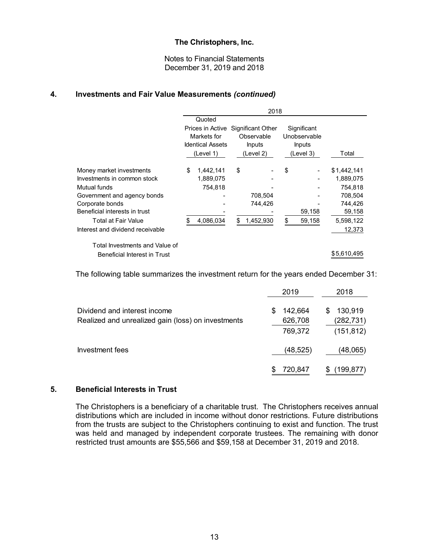Notes to Financial Statements December 31, 2019 and 2018

#### **4. Investments and Fair Value Measurements** *(continued)*

|                                  | 2018 |                         |    |                                    |    |              |             |
|----------------------------------|------|-------------------------|----|------------------------------------|----|--------------|-------------|
|                                  |      | Quoted                  |    |                                    |    |              |             |
|                                  |      |                         |    | Prices in Active Significant Other |    | Significant  |             |
|                                  |      | Markets for             |    | Observable                         |    | Unobservable |             |
|                                  |      | <b>Identical Assets</b> |    | <b>Inputs</b>                      |    | Inputs       |             |
|                                  |      | (Level 1)               |    | (Level 2)                          |    | (Level 3)    | Total       |
| Money market investments         | \$   | 1,442,141               | \$ |                                    | \$ |              | \$1,442,141 |
| Investments in common stock      |      | 1,889,075               |    |                                    |    |              | 1,889,075   |
| Mutual funds                     |      | 754,818                 |    |                                    |    |              | 754.818     |
| Government and agency bonds      |      |                         |    | 708,504                            |    |              | 708.504     |
| Corporate bonds                  |      |                         |    | 744,426                            |    |              | 744,426     |
| Beneficial interests in trust    |      |                         |    |                                    |    | 59,158       | 59,158      |
| Total at Fair Value              |      | 4,086,034               |    | 1,452,930                          | \$ | 59,158       | 5,598,122   |
| Interest and dividend receivable |      |                         |    |                                    |    |              | 12,373      |
| Total Investments and Value of   |      |                         |    |                                    |    |              |             |
| Beneficial Interest in Trust     |      |                         |    |                                    |    |              | \$5,610,495 |
|                                  |      |                         |    |                                    |    |              |             |

The following table summarizes the investment return for the years ended December 31:

|                                                                                    | 2019                               | 2018                                     |
|------------------------------------------------------------------------------------|------------------------------------|------------------------------------------|
| Dividend and interest income<br>Realized and unrealized gain (loss) on investments | 142,664<br>S<br>626,708<br>769,372 | 130,919<br>S<br>(282, 731)<br>(151, 812) |
| Investment fees                                                                    | (48, 525)                          | (48,065)                                 |
|                                                                                    | 720,847                            | (199, 877)                               |

# **5. Beneficial Interests in Trust**

The Christophers is a beneficiary of a charitable trust. The Christophers receives annual distributions which are included in income without donor restrictions. Future distributions from the trusts are subject to the Christophers continuing to exist and function. The trust was held and managed by independent corporate trustees. The remaining with donor restricted trust amounts are \$55,566 and \$59,158 at December 31, 2019 and 2018.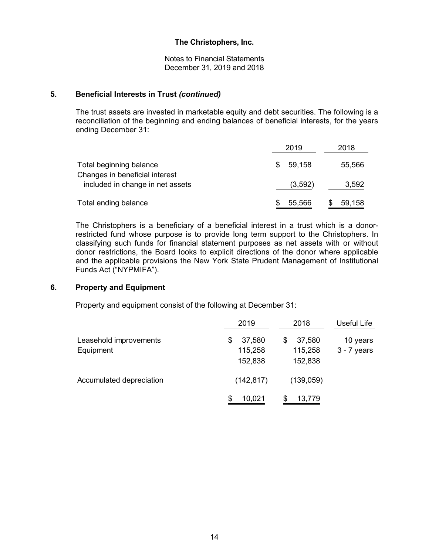Notes to Financial Statements December 31, 2019 and 2018

#### **5. Beneficial Interests in Trust** *(continued)*

The trust assets are invested in marketable equity and debt securities. The following is a reconciliation of the beginning and ending balances of beneficial interests, for the years ending December 31:

|                                                           | 2019          | 2018   |
|-----------------------------------------------------------|---------------|--------|
| Total beginning balance<br>Changes in beneficial interest | 59,158<br>\$. | 55,566 |
| included in change in net assets                          | (3,592)       | 3,592  |
| Total ending balance                                      | 55,566        | 59,158 |

The Christophers is a beneficiary of a beneficial interest in a trust which is a donorrestricted fund whose purpose is to provide long term support to the Christophers. In classifying such funds for financial statement purposes as net assets with or without donor restrictions, the Board looks to explicit directions of the donor where applicable and the applicable provisions the New York State Prudent Management of Institutional Funds Act ("NYPMIFA").

# **6. Property and Equipment**

Property and equipment consist of the following at December 31:

|                                     | 2019                               | 2018                               | Useful Life               |
|-------------------------------------|------------------------------------|------------------------------------|---------------------------|
| Leasehold improvements<br>Equipment | 37,580<br>\$<br>115,258<br>152,838 | 37,580<br>\$<br>115,258<br>152,838 | 10 years<br>$3 - 7$ years |
| Accumulated depreciation            | (142, 817)                         | (139,059)                          |                           |
|                                     | 10,021<br>\$                       | 13,779                             |                           |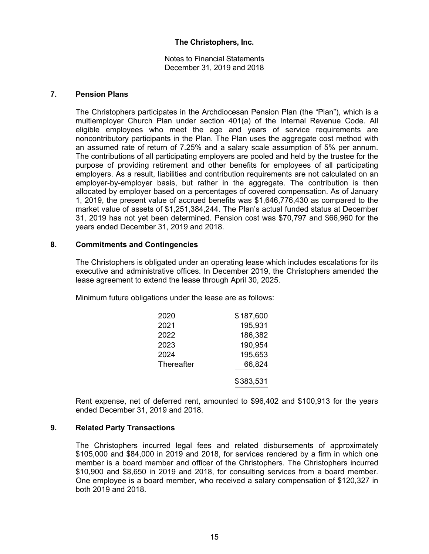Notes to Financial Statements December 31, 2019 and 2018

#### **7. Pension Plans**

The Christophers participates in the Archdiocesan Pension Plan (the "Plan"), which is a multiemployer Church Plan under section 401(a) of the Internal Revenue Code. All eligible employees who meet the age and years of service requirements are noncontributory participants in the Plan. The Plan uses the aggregate cost method with an assumed rate of return of 7.25% and a salary scale assumption of 5% per annum. The contributions of all participating employers are pooled and held by the trustee for the purpose of providing retirement and other benefits for employees of all participating employers. As a result, liabilities and contribution requirements are not calculated on an employer-by-employer basis, but rather in the aggregate. The contribution is then allocated by employer based on a percentages of covered compensation. As of January 1, 2019, the present value of accrued benefits was \$1,646,776,430 as compared to the market value of assets of \$1,251,384,244. The Plan's actual funded status at December 31, 2019 has not yet been determined. Pension cost was \$70,797 and \$66,960 for the years ended December 31, 2019 and 2018.

#### **8. Commitments and Contingencies**

The Christophers is obligated under an operating lease which includes escalations for its executive and administrative offices. In December 2019, the Christophers amended the lease agreement to extend the lease through April 30, 2025.

Minimum future obligations under the lease are as follows:

| 2020       | \$187,600 |
|------------|-----------|
| 2021       | 195,931   |
| 2022       | 186,382   |
| 2023       | 190,954   |
| 2024       | 195,653   |
| Thereafter | 66,824    |
|            | \$383,531 |

Rent expense, net of deferred rent, amounted to \$96,402 and \$100,913 for the years ended December 31, 2019 and 2018.

# **9. Related Party Transactions**

The Christophers incurred legal fees and related disbursements of approximately \$105,000 and \$84,000 in 2019 and 2018, for services rendered by a firm in which one member is a board member and officer of the Christophers. The Christophers incurred \$10,900 and \$8,650 in 2019 and 2018, for consulting services from a board member. One employee is a board member, who received a salary compensation of \$120,327 in both 2019 and 2018.